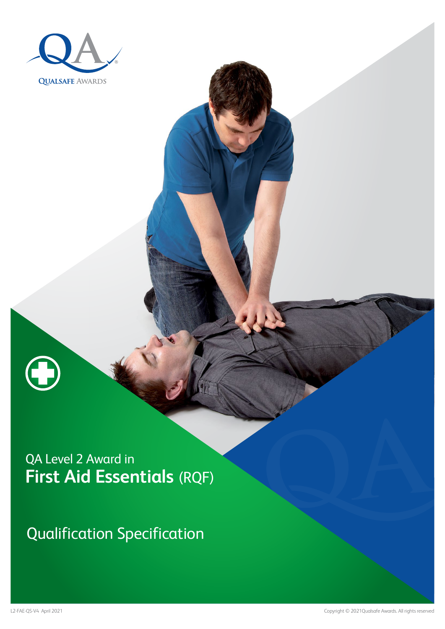

Qualification Specification

A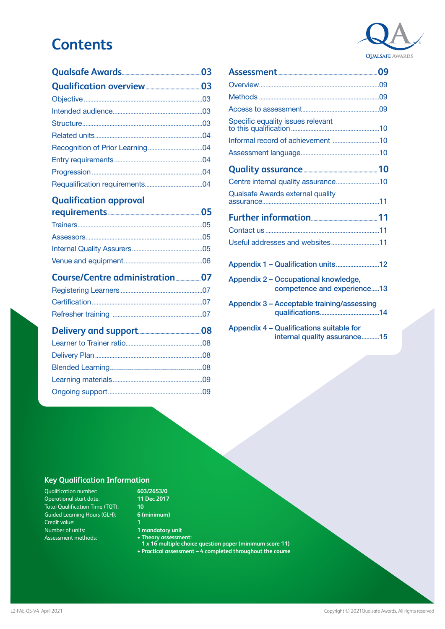## **Contents**

#### **[Qualification approval](#page-4-0)**

#### **[Course/Centre administration....................07](#page-6-0)** Registering Learners [...................................................07](#page-6-0)

[Ongoing support...........................................................09](#page-8-0)



[Appendix 4 – Qualifications suitable for](#page-14-0)  [internal quality assurance...........15](#page-14-0)

#### **Key Qualification Information**

Qualification number: Operational start date: Total Qualification Time (TQT): Guided Learning Hours (GLH): Credit value: Number of units: Assessment methods:

#### **603/2653/0 11 Dec 2017**

**10 6 (minimum)**

- **1 1 mandatory unit**
- **Theory assessment:**
- **1 x 16 multiple choice question paper (minimum score 11)**
- **• Practical assessment 4 completed throughout the course**

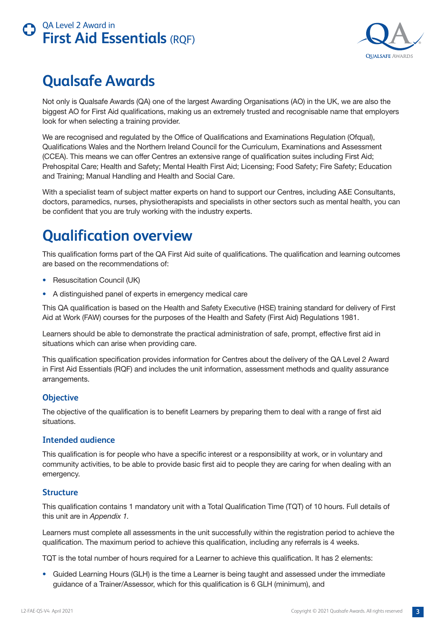

## <span id="page-2-0"></span>**Qualsafe Awards**

Not only is Qualsafe Awards (QA) one of the largest Awarding Organisations (AO) in the UK, we are also the biggest AO for First Aid qualifications, making us an extremely trusted and recognisable name that employers look for when selecting a training provider.

We are recognised and regulated by the Office of Qualifications and Examinations Regulation (Ofqual), Qualifications Wales and the Northern Ireland Council for the Curriculum, Examinations and Assessment (CCEA). This means we can offer Centres an extensive range of qualification suites including First Aid; Prehospital Care; Health and Safety; Mental Health First Aid; Licensing; Food Safety; Fire Safety; Education and Training; Manual Handling and Health and Social Care.

With a specialist team of subject matter experts on hand to support our Centres, including A&E Consultants, doctors, paramedics, nurses, physiotherapists and specialists in other sectors such as mental health, you can be confident that you are truly working with the industry experts.

# **Qualification overview**

This qualification forms part of the QA First Aid suite of qualifications. The qualification and learning outcomes are based on the recommendations of:

- Resuscitation Council (UK)
- A distinguished panel of experts in emergency medical care

This QA qualification is based on the Health and Safety Executive (HSE) training standard for delivery of First Aid at Work (FAW) courses for the purposes of the Health and Safety (First Aid) Regulations 1981.

Learners should be able to demonstrate the practical administration of safe, prompt, effective first aid in situations which can arise when providing care.

This qualification specification provides information for Centres about the delivery of the QA Level 2 Award in First Aid Essentials (RQF) and includes the unit information, assessment methods and quality assurance arrangements.

#### **Objective**

The objective of the qualification is to benefit Learners by preparing them to deal with a range of first aid situations.

#### **Intended audience**

This qualification is for people who have a specific interest or a responsibility at work, or in voluntary and community activities, to be able to provide basic first aid to people they are caring for when dealing with an emergency.

#### **Structure**

This qualification contains 1 mandatory unit with a Total Qualification Time (TQT) of 10 hours. Full details of this unit are in *Appendix 1.*

Learners must complete all assessments in the unit successfully within the registration period to achieve the qualification. The maximum period to achieve this qualification, including any referrals is 4 weeks.

TQT is the total number of hours required for a Learner to achieve this qualification. It has 2 elements:

• Guided Learning Hours (GLH) is the time a Learner is being taught and assessed under the immediate guidance of a Trainer/Assessor, which for this qualification is 6 GLH (minimum), and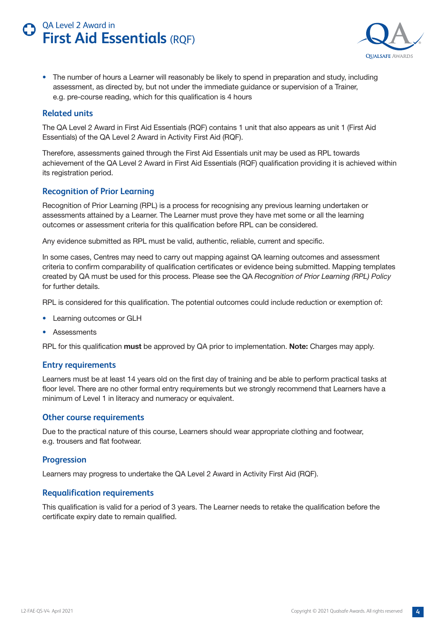

<span id="page-3-0"></span>• The number of hours a Learner will reasonably be likely to spend in preparation and study, including assessment, as directed by, but not under the immediate guidance or supervision of a Trainer, e.g. pre-course reading, which for this qualification is 4 hours

#### **Related units**

The QA Level 2 Award in First Aid Essentials (RQF) contains 1 unit that also appears as unit 1 (First Aid Essentials) of the QA Level 2 Award in Activity First Aid (RQF).

Therefore, assessments gained through the First Aid Essentials unit may be used as RPL towards achievement of the QA Level 2 Award in First Aid Essentials (RQF) qualification providing it is achieved within its registration period.

#### **Recognition of Prior Learning**

Recognition of Prior Learning (RPL) is a process for recognising any previous learning undertaken or assessments attained by a Learner. The Learner must prove they have met some or all the learning outcomes or assessment criteria for this qualification before RPL can be considered.

Any evidence submitted as RPL must be valid, authentic, reliable, current and specific.

In some cases, Centres may need to carry out mapping against QA learning outcomes and assessment criteria to confirm comparability of qualification certificates or evidence being submitted. Mapping templates created by QA must be used for this process. Please see the QA *Recognition of Prior Learning (RPL) Policy* for further details.

RPL is considered for this qualification. The potential outcomes could include reduction or exemption of:

- Learning outcomes or GLH
- Assessments

RPL for this qualification **must** be approved by QA prior to implementation. **Note:** Charges may apply.

#### **Entry requirements**

Learners must be at least 14 years old on the first day of training and be able to perform practical tasks at floor level. There are no other formal entry requirements but we strongly recommend that Learners have a minimum of Level 1 in literacy and numeracy or equivalent.

#### **Other course requirements**

Due to the practical nature of this course, Learners should wear appropriate clothing and footwear, e.g. trousers and flat footwear.

#### **Progression**

Learners may progress to undertake the QA Level 2 Award in Activity First Aid (RQF).

#### **Requalification requirements**

This qualification is valid for a period of 3 years. The Learner needs to retake the qualification before the certificate expiry date to remain qualified.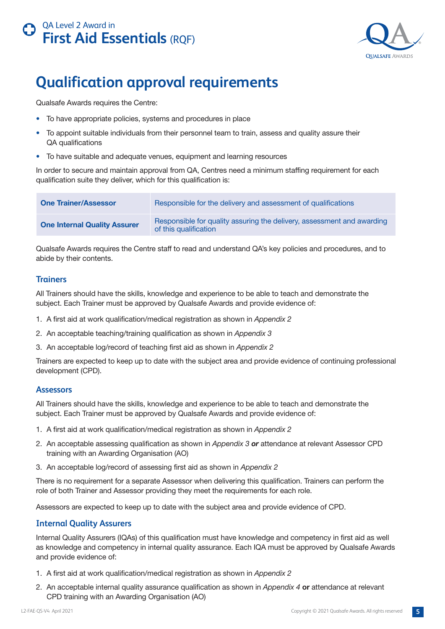

## <span id="page-4-0"></span>**Qualification approval requirements**

Qualsafe Awards requires the Centre:

- To have appropriate policies, systems and procedures in place
- To appoint suitable individuals from their personnel team to train, assess and quality assure their QA qualifications
- To have suitable and adequate venues, equipment and learning resources

In order to secure and maintain approval from QA, Centres need a minimum staffing requirement for each qualification suite they deliver, which for this qualification is:

| <b>One Trainer/Assessor</b>         | Responsible for the delivery and assessment of qualifications                                   |
|-------------------------------------|-------------------------------------------------------------------------------------------------|
| <b>One Internal Quality Assurer</b> | Responsible for quality assuring the delivery, assessment and awarding<br>of this qualification |

Qualsafe Awards requires the Centre staff to read and understand QA's key policies and procedures, and to abide by their contents.

#### **Trainers**

All Trainers should have the skills, knowledge and experience to be able to teach and demonstrate the subject. Each Trainer must be approved by Qualsafe Awards and provide evidence of:

- 1. A first aid at work qualification/medical registration as shown in *Appendix 2*
- 2. An acceptable teaching/training qualification as shown in *Appendix 3*
- 3. An acceptable log/record of teaching first aid as shown in *Appendix 2*

Trainers are expected to keep up to date with the subject area and provide evidence of continuing professional development (CPD).

#### **Assessors**

All Trainers should have the skills, knowledge and experience to be able to teach and demonstrate the subject. Each Trainer must be approved by Qualsafe Awards and provide evidence of:

- 1. A first aid at work qualification/medical registration as shown in *Appendix 2*
- 2. An acceptable assessing qualification as shown in *Appendix 3 or* attendance at relevant Assessor CPD training with an Awarding Organisation (AO)
- 3. An acceptable log/record of assessing first aid as shown in *Appendix 2*

There is no requirement for a separate Assessor when delivering this qualification. Trainers can perform the role of both Trainer and Assessor providing they meet the requirements for each role.

Assessors are expected to keep up to date with the subject area and provide evidence of CPD.

#### **Internal Quality Assurers**

Internal Quality Assurers (IQAs) of this qualification must have knowledge and competency in first aid as well as knowledge and competency in internal quality assurance. Each IQA must be approved by Qualsafe Awards and provide evidence of:

- 1. A first aid at work qualification/medical registration as shown in *Appendix 2*
- 2. An acceptable internal quality assurance qualification as shown in *Appendix 4* **or** attendance at relevant CPD training with an Awarding Organisation (AO)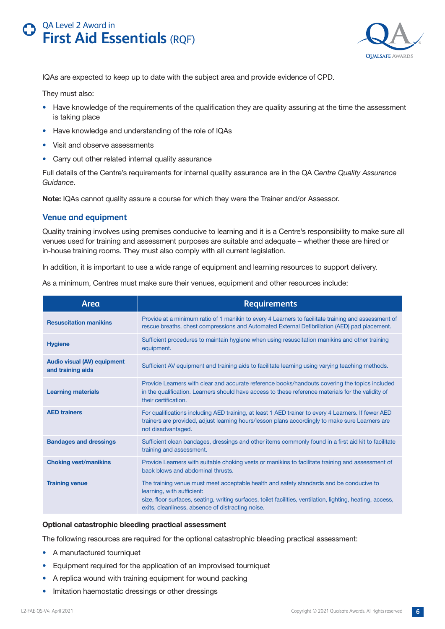

<span id="page-5-0"></span>IQAs are expected to keep up to date with the subject area and provide evidence of CPD.

They must also:

- Have knowledge of the requirements of the qualification they are quality assuring at the time the assessment is taking place
- Have knowledge and understanding of the role of IQAs
- Visit and observe assessments
- Carry out other related internal quality assurance

Full details of the Centre's requirements for internal quality assurance are in the QA C*entre Quality Assurance Guidance.*

**Note:** IQAs cannot quality assure a course for which they were the Trainer and/or Assessor.

#### **Venue and equipment**

Quality training involves using premises conducive to learning and it is a Centre's responsibility to make sure all venues used for training and assessment purposes are suitable and adequate – whether these are hired or in-house training rooms. They must also comply with all current legislation.

In addition, it is important to use a wide range of equipment and learning resources to support delivery.

As a minimum, Centres must make sure their venues, equipment and other resources include:

| Area                                                    | <b>Requirements</b>                                                                                                                                                                                                                                                                       |
|---------------------------------------------------------|-------------------------------------------------------------------------------------------------------------------------------------------------------------------------------------------------------------------------------------------------------------------------------------------|
| <b>Resuscitation manikins</b>                           | Provide at a minimum ratio of 1 manikin to every 4 Learners to facilitate training and assessment of<br>rescue breaths, chest compressions and Automated External Defibrillation (AED) pad placement.                                                                                     |
| <b>Hygiene</b>                                          | Sufficient procedures to maintain hygiene when using resuscitation manikins and other training<br>equipment.                                                                                                                                                                              |
| <b>Audio visual (AV) equipment</b><br>and training aids | Sufficient AV equipment and training aids to facilitate learning using varying teaching methods.                                                                                                                                                                                          |
| <b>Learning materials</b>                               | Provide Learners with clear and accurate reference books/handouts covering the topics included<br>in the qualification. Learners should have access to these reference materials for the validity of<br>their certification.                                                              |
| <b>AED trainers</b>                                     | For qualifications including AED training, at least 1 AED trainer to every 4 Learners. If fewer AED<br>trainers are provided, adjust learning hours/lesson plans accordingly to make sure Learners are<br>not disadvantaged.                                                              |
| <b>Bandages and dressings</b>                           | Sufficient clean bandages, dressings and other items commonly found in a first aid kit to facilitate<br>training and assessment.                                                                                                                                                          |
| <b>Choking vest/manikins</b>                            | Provide Learners with suitable choking vests or manikins to facilitate training and assessment of<br>back blows and abdominal thrusts.                                                                                                                                                    |
| <b>Training venue</b>                                   | The training venue must meet acceptable health and safety standards and be conducive to<br>learning, with sufficient:<br>size, floor surfaces, seating, writing surfaces, toilet facilities, ventilation, lighting, heating, access,<br>exits, cleanliness, absence of distracting noise. |

#### **Optional catastrophic bleeding practical assessment**

The following resources are required for the optional catastrophic bleeding practical assessment:

- A manufactured tourniquet
- Equipment required for the application of an improvised tourniquet
- A replica wound with training equipment for wound packing
- Imitation haemostatic dressings or other dressings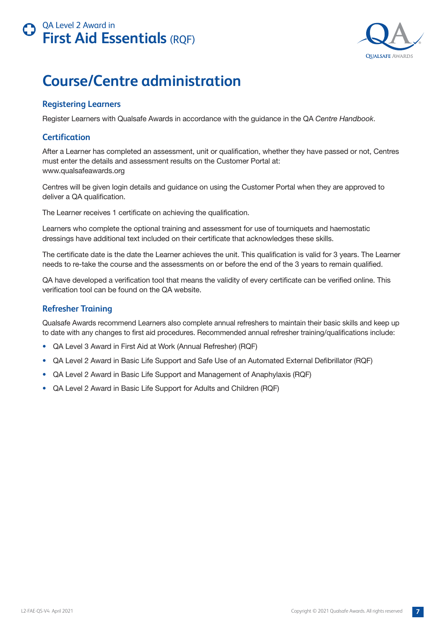

## <span id="page-6-0"></span>**Course/Centre administration**

#### **Registering Learners**

Register Learners with Qualsafe Awards in accordance with the guidance in the QA *Centre Handbook*.

#### **Certification**

After a Learner has completed an assessment, unit or qualification, whether they have passed or not, Centres must enter the details and assessment results on the Customer Portal at: www.qualsafeawards.org

Centres will be given login details and guidance on using the Customer Portal when they are approved to deliver a QA qualification.

The Learner receives 1 certificate on achieving the qualification.

Learners who complete the optional training and assessment for use of tourniquets and haemostatic dressings have additional text included on their certificate that acknowledges these skills.

The certificate date is the date the Learner achieves the unit. This qualification is valid for 3 years. The Learner needs to re-take the course and the assessments on or before the end of the 3 years to remain qualified.

QA have developed a verification tool that means the validity of every certificate can be verified online. This verification tool can be found on the QA website.

#### **Refresher Training**

Qualsafe Awards recommend Learners also complete annual refreshers to maintain their basic skills and keep up to date with any changes to first aid procedures. Recommended annual refresher training/qualifications include:

- QA Level 3 Award in First Aid at Work (Annual Refresher) (RQF)
- QA Level 2 Award in Basic Life Support and Safe Use of an Automated External Defibrillator (RQF)
- QA Level 2 Award in Basic Life Support and Management of Anaphylaxis (RQF)
- QA Level 2 Award in Basic Life Support for Adults and Children (RQF)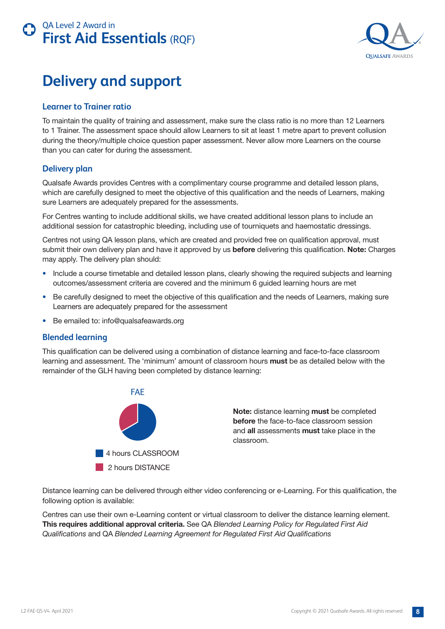



## **Delivery and support**

#### **Learner to Trainer ratio**

To maintain the quality of training and assessment, make sure the class ratio is no more than 12 Learners to 1 Trainer. The assessment space should allow Learners to sit at least 1 metre apart to prevent collusion during the theory/multiple choice question paper assessment. Never allow more Learners on the course than you can cater for during the assessment.

#### **Delivery plan**

Qualsafe Awards provides Centres with a complimentary course programme and detailed lesson plans, which are carefully designed to meet the objective of this qualification and the needs of Learners, making sure Learners are adequately prepared for the assessments.

For Centres wanting to include additional skills, we have created additional lesson plans to include an additional session for catastrophic bleeding, including use of tourniquets and haemostatic dressings.

Centres not using QA lesson plans, which are created and provided free on qualification approval, must submit their own delivery plan and have it approved by us **before** delivering this qualification. **Note:** Charges may apply. The delivery plan should:

- Include a course timetable and detailed lesson plans, clearly showing the required subjects and learning outcomes/assessment criteria are covered and the minimum 6 guided learning hours are met
- Be carefully designed to meet the objective of this qualification and the needs of Learners, making sure Learners are adequately prepared for the assessment
- Be emailed to: info@qualsafeawards.org

#### **Blended learning**

This qualification can be delivered using a combination of distance learning and face-to-face classroom learning and assessment. The 'minimum' amount of classroom hours **must** be as detailed below with the remainder of the GLH having been completed by distance learning:



**Note:** distance learning **must** be completed **before** the face-to-face classroom session and **all** assessments **must** take place in the classroom.

Distance learning can be delivered through either video conferencing or e-Learning. For this qualification, the following option is available:

Centres can use their own e-Learning content or virtual classroom to deliver the distance learning element. **This requires additional approval criteria.** See QA *Blended Learning Policy for Regulated First Aid Qualifications* and QA *Blended Learning Agreement for Regulated First Aid Qualifications*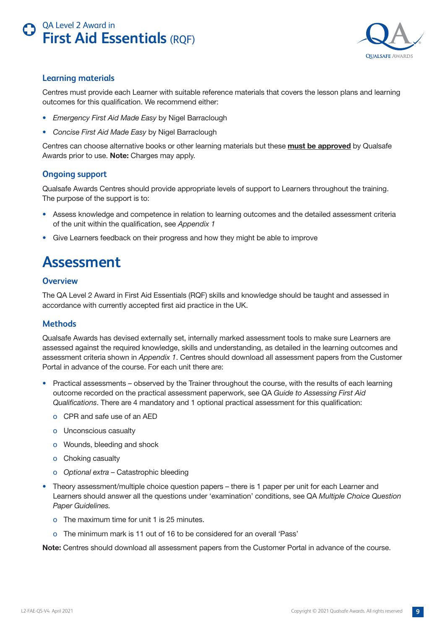

#### <span id="page-8-0"></span>**Learning materials**

Centres must provide each Learner with suitable reference materials that covers the lesson plans and learning outcomes for this qualification. We recommend either:

- *Emergency First Aid Made Easy* by Nigel Barraclough
- *Concise First Aid Made Easy* by Nigel Barraclough

Centres can choose alternative books or other learning materials but these **must be approved** by Qualsafe Awards prior to use. **Note:** Charges may apply.

#### **Ongoing support**

Qualsafe Awards Centres should provide appropriate levels of support to Learners throughout the training. The purpose of the support is to:

- Assess knowledge and competence in relation to learning outcomes and the detailed assessment criteria of the unit within the qualification, see *Appendix 1*
- Give Learners feedback on their progress and how they might be able to improve

## **Assessment**

#### **Overview**

The QA Level 2 Award in First Aid Essentials (RQF) skills and knowledge should be taught and assessed in accordance with currently accepted first aid practice in the UK.

#### **Methods**

Qualsafe Awards has devised externally set, internally marked assessment tools to make sure Learners are assessed against the required knowledge, skills and understanding, as detailed in the learning outcomes and assessment criteria shown in *Appendix 1*. Centres should download all assessment papers from the Customer Portal in advance of the course. For each unit there are:

- Practical assessments observed by the Trainer throughout the course, with the results of each learning outcome recorded on the practical assessment paperwork, see QA *Guide to Assessing First Aid Qualifications*. There are 4 mandatory and 1 optional practical assessment for this qualification:
	- o CPR and safe use of an AED
	- o Unconscious casualty
	- o Wounds, bleeding and shock
	- o Choking casualty
	- o *Optional extra* Catastrophic bleeding
- Theory assessment/multiple choice question papers there is 1 paper per unit for each Learner and Learners should answer all the questions under 'examination' conditions, see QA *Multiple Choice Question Paper Guidelines.*
	- o The maximum time for unit 1 is 25 minutes.
	- o The minimum mark is 11 out of 16 to be considered for an overall 'Pass'

**Note:** Centres should download all assessment papers from the Customer Portal in advance of the course.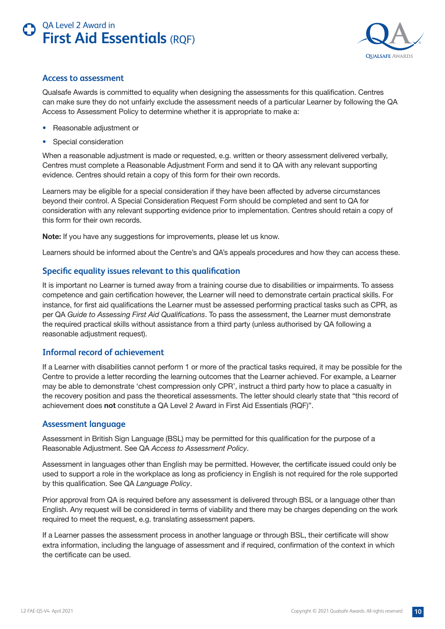

#### <span id="page-9-0"></span>**Access to assessment**

Qualsafe Awards is committed to equality when designing the assessments for this qualification. Centres can make sure they do not unfairly exclude the assessment needs of a particular Learner by following the QA Access to Assessment Policy to determine whether it is appropriate to make a:

- Reasonable adjustment or
- Special consideration

When a reasonable adjustment is made or requested, e.g. written or theory assessment delivered verbally, Centres must complete a Reasonable Adjustment Form and send it to QA with any relevant supporting evidence. Centres should retain a copy of this form for their own records.

Learners may be eligible for a special consideration if they have been affected by adverse circumstances beyond their control. A Special Consideration Request Form should be completed and sent to QA for consideration with any relevant supporting evidence prior to implementation. Centres should retain a copy of this form for their own records.

**Note:** If you have any suggestions for improvements, please let us know.

Learners should be informed about the Centre's and QA's appeals procedures and how they can access these.

#### **Specific equality issues relevant to this qualification**

It is important no Learner is turned away from a training course due to disabilities or impairments. To assess competence and gain certification however, the Learner will need to demonstrate certain practical skills. For instance, for first aid qualifications the Learner must be assessed performing practical tasks such as CPR, as per QA *Guide to Assessing First Aid Qualifications*. To pass the assessment, the Learner must demonstrate the required practical skills without assistance from a third party (unless authorised by QA following a reasonable adjustment request).

#### **Informal record of achievement**

If a Learner with disabilities cannot perform 1 or more of the practical tasks required, it may be possible for the Centre to provide a letter recording the learning outcomes that the Learner achieved. For example, a Learner may be able to demonstrate 'chest compression only CPR', instruct a third party how to place a casualty in the recovery position and pass the theoretical assessments. The letter should clearly state that "this record of achievement does **not** constitute a QA Level 2 Award in First Aid Essentials (RQF)".

#### **Assessment language**

Assessment in British Sign Language (BSL) may be permitted for this qualification for the purpose of a Reasonable Adjustment. See QA *Access to Assessment Policy*.

Assessment in languages other than English may be permitted. However, the certificate issued could only be used to support a role in the workplace as long as proficiency in English is not required for the role supported by this qualification. See QA *Language Policy*.

Prior approval from QA is required before any assessment is delivered through BSL or a language other than English. Any request will be considered in terms of viability and there may be charges depending on the work required to meet the request, e.g. translating assessment papers.

If a Learner passes the assessment process in another language or through BSL, their certificate will show extra information, including the language of assessment and if required, confirmation of the context in which the certificate can be used.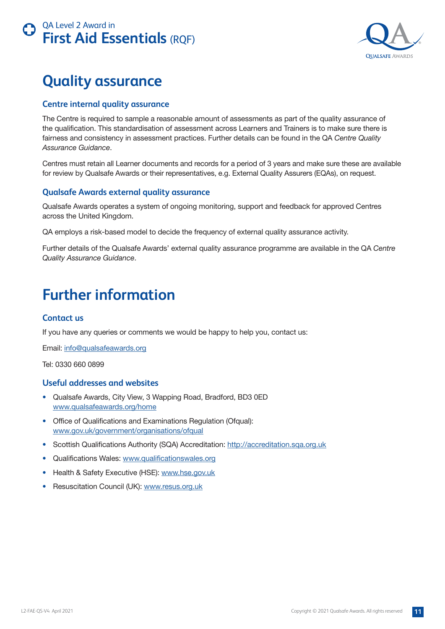<span id="page-10-0"></span>![](_page_10_Picture_0.jpeg)

![](_page_10_Picture_1.jpeg)

## **Quality assurance**

#### **Centre internal quality assurance**

The Centre is required to sample a reasonable amount of assessments as part of the quality assurance of the qualification. This standardisation of assessment across Learners and Trainers is to make sure there is fairness and consistency in assessment practices. Further details can be found in the QA *Centre Quality Assurance Guidance*.

Centres must retain all Learner documents and records for a period of 3 years and make sure these are available for review by Qualsafe Awards or their representatives, e.g. External Quality Assurers (EQAs), on request.

#### **Qualsafe Awards external quality assurance**

Qualsafe Awards operates a system of ongoing monitoring, support and feedback for approved Centres across the United Kingdom.

QA employs a risk-based model to decide the frequency of external quality assurance activity.

Further details of the Qualsafe Awards' external quality assurance programme are available in the QA *Centre Quality Assurance Guidance*.

## **Further information**

#### **Contact us**

If you have any queries or comments we would be happy to help you, contact us:

Email: [info@qualsafeawards.org](mailto:info%40qualsafeawards.org?subject=)

Tel: 0330 660 0899

#### **Useful addresses and websites**

- Qualsafe Awards, City View, 3 Wapping Road, Bradford, BD3 0ED [www.qualsafeawards.org/home](http://www.qualsafeawards.org/home)
- Office of Qualifications and Examinations Regulation (Ofqual): [www.gov.uk/government/organisations/ofqual](http://www.gov.uk/government/organisations/ofqual)
- Scottish Qualifications Authority (SQA) Accreditation:<http://accreditation.sqa.org.uk>
- Qualifications Wales: [www.qualificationswales.org](http://www.qualificationswales.org)
- Health & Safety Executive (HSE): [www.hse.gov.uk](http://www.hse.gov.uk)
- Resuscitation Council (UK): [www.resus.org.uk](http://www.resus.org.uk)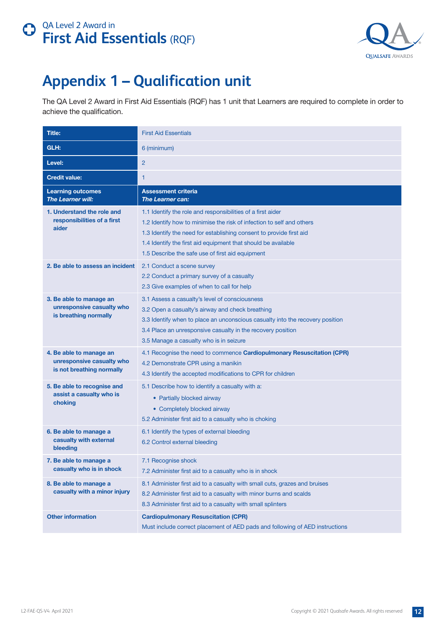![](_page_11_Picture_1.jpeg)

# <span id="page-11-0"></span>**Appendix 1 – Qualification unit**

The QA Level 2 Award in First Aid Essentials (RQF) has 1 unit that Learners are required to complete in order to achieve the qualification.

| Title:                                                                            | <b>First Aid Essentials</b>                                                                                                                                                                                                                                                                                                      |
|-----------------------------------------------------------------------------------|----------------------------------------------------------------------------------------------------------------------------------------------------------------------------------------------------------------------------------------------------------------------------------------------------------------------------------|
| GLH:                                                                              | 6 (minimum)                                                                                                                                                                                                                                                                                                                      |
| Level:                                                                            | $\overline{2}$                                                                                                                                                                                                                                                                                                                   |
| <b>Credit value:</b>                                                              | 1                                                                                                                                                                                                                                                                                                                                |
| <b>Learning outcomes</b><br><b>The Learner will:</b>                              | <b>Assessment criteria</b><br><b>The Learner can:</b>                                                                                                                                                                                                                                                                            |
| 1. Understand the role and<br>responsibilities of a first<br>aider                | 1.1 Identify the role and responsibilities of a first aider<br>1.2 Identify how to minimise the risk of infection to self and others<br>1.3 Identify the need for establishing consent to provide first aid<br>1.4 Identify the first aid equipment that should be available<br>1.5 Describe the safe use of first aid equipment |
| 2. Be able to assess an incident                                                  | 2.1 Conduct a scene survey<br>2.2 Conduct a primary survey of a casualty<br>2.3 Give examples of when to call for help                                                                                                                                                                                                           |
| 3. Be able to manage an<br>unresponsive casualty who<br>is breathing normally     | 3.1 Assess a casualty's level of consciousness<br>3.2 Open a casualty's airway and check breathing<br>3.3 Identify when to place an unconscious casualty into the recovery position<br>3.4 Place an unresponsive casualty in the recovery position<br>3.5 Manage a casualty who is in seizure                                    |
| 4. Be able to manage an<br>unresponsive casualty who<br>is not breathing normally | 4.1 Recognise the need to commence Cardiopulmonary Resuscitation (CPR)<br>4.2 Demonstrate CPR using a manikin<br>4.3 Identify the accepted modifications to CPR for children                                                                                                                                                     |
| 5. Be able to recognise and<br>assist a casualty who is<br>choking                | 5.1 Describe how to identify a casualty with a:<br>• Partially blocked airway<br>• Completely blocked airway<br>5.2 Administer first aid to a casualty who is choking                                                                                                                                                            |
| 6. Be able to manage a<br>casualty with external<br>bleeding                      | 6.1 Identify the types of external bleeding<br>6.2 Control external bleeding                                                                                                                                                                                                                                                     |
| 7. Be able to manage a<br>casualty who is in shock                                | 7.1 Recognise shock<br>7.2 Administer first aid to a casualty who is in shock                                                                                                                                                                                                                                                    |
| 8. Be able to manage a<br>casualty with a minor injury                            | 8.1 Administer first aid to a casualty with small cuts, grazes and bruises<br>8.2 Administer first aid to a casualty with minor burns and scalds<br>8.3 Administer first aid to a casualty with small splinters                                                                                                                  |
| <b>Other information</b>                                                          | <b>Cardiopulmonary Resuscitation (CPR)</b><br>Must include correct placement of AED pads and following of AED instructions                                                                                                                                                                                                       |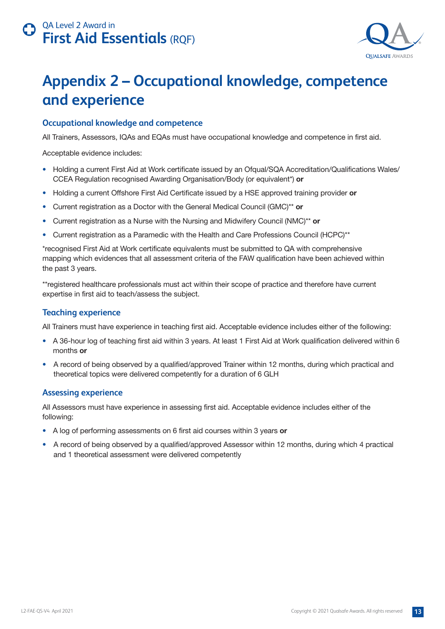![](_page_12_Picture_1.jpeg)

## <span id="page-12-0"></span>**Appendix 2 – Occupational knowledge, competence and experience**

#### **Occupational knowledge and competence**

All Trainers, Assessors, IQAs and EQAs must have occupational knowledge and competence in first aid.

Acceptable evidence includes:

- Holding a current First Aid at Work certificate issued by an Ofqual/SQA Accreditation/Qualifications Wales/ CCEA Regulation recognised Awarding Organisation/Body (or equivalent\*) **or**
- Holding a current Offshore First Aid Certificate issued by a HSE approved training provider **or**
- Current registration as a Doctor with the General Medical Council (GMC)\*\* **or**
- Current registration as a Nurse with the Nursing and Midwifery Council (NMC)\*\* **or**
- Current registration as a Paramedic with the Health and Care Professions Council (HCPC)\*\*

\*recognised First Aid at Work certificate equivalents must be submitted to QA with comprehensive mapping which evidences that all assessment criteria of the FAW qualification have been achieved within the past 3 years.

\*\*registered healthcare professionals must act within their scope of practice and therefore have current expertise in first aid to teach/assess the subject.

#### **Teaching experience**

All Trainers must have experience in teaching first aid. Acceptable evidence includes either of the following:

- A 36-hour log of teaching first aid within 3 years. At least 1 First Aid at Work qualification delivered within 6 months **or**
- A record of being observed by a qualified/approved Trainer within 12 months, during which practical and theoretical topics were delivered competently for a duration of 6 GLH

#### **Assessing experience**

All Assessors must have experience in assessing first aid. Acceptable evidence includes either of the following:

- A log of performing assessments on 6 first aid courses within 3 years **or**
- A record of being observed by a qualified/approved Assessor within 12 months, during which 4 practical and 1 theoretical assessment were delivered competently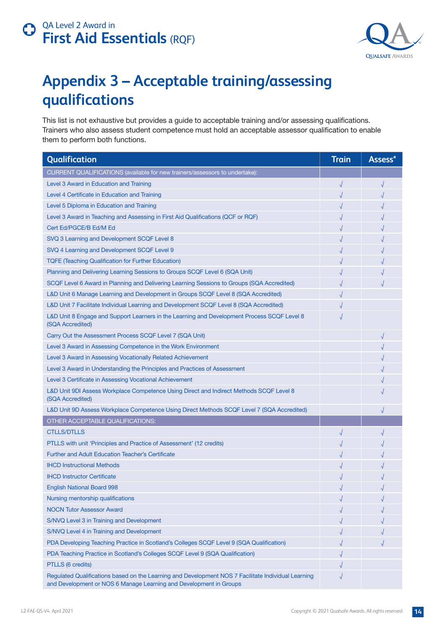![](_page_13_Picture_1.jpeg)

# <span id="page-13-0"></span>**Appendix 3 – Acceptable training/assessing qualifications**

This list is not exhaustive but provides a guide to acceptable training and/or assessing qualifications. Trainers who also assess student competence must hold an acceptable assessor qualification to enable them to perform both functions.

| Qualification                                                                                                                                                             | <b>Train</b> | Assess*    |
|---------------------------------------------------------------------------------------------------------------------------------------------------------------------------|--------------|------------|
| CURRENT QUALIFICATIONS (available for new trainers/assessors to undertake):                                                                                               |              |            |
| Level 3 Award in Education and Training                                                                                                                                   | $\sqrt{}$    | $\sqrt{ }$ |
| Level 4 Certificate in Education and Training                                                                                                                             | √            |            |
| Level 5 Diploma in Education and Training                                                                                                                                 |              |            |
| Level 3 Award in Teaching and Assessing in First Aid Qualifications (QCF or RQF)                                                                                          | $\sqrt{}$    |            |
| Cert Ed/PGCE/B Ed/M Ed                                                                                                                                                    |              |            |
| SVQ 3 Learning and Development SCQF Level 8                                                                                                                               | √            |            |
| SVQ 4 Learning and Development SCQF Level 9                                                                                                                               | √            |            |
| <b>TQFE (Teaching Qualification for Further Education)</b>                                                                                                                |              |            |
| Planning and Delivering Learning Sessions to Groups SCQF Level 6 (SQA Unit)                                                                                               |              |            |
| SCQF Level 6 Award in Planning and Delivering Learning Sessions to Groups (SQA Accredited)                                                                                |              |            |
| L&D Unit 6 Manage Learning and Development in Groups SCQF Level 8 (SQA Accredited)                                                                                        |              |            |
| L&D Unit 7 Facilitate Individual Learning and Development SCQF Level 8 (SQA Accredited)                                                                                   |              |            |
| L&D Unit 8 Engage and Support Learners in the Learning and Development Process SCQF Level 8<br>(SQA Accredited)                                                           |              |            |
| Carry Out the Assessment Process SCQF Level 7 (SQA Unit)                                                                                                                  |              |            |
| Level 3 Award in Assessing Competence in the Work Environment                                                                                                             |              |            |
| Level 3 Award in Assessing Vocationally Related Achievement                                                                                                               |              |            |
| Level 3 Award in Understanding the Principles and Practices of Assessment                                                                                                 |              |            |
| Level 3 Certificate in Assessing Vocational Achievement                                                                                                                   |              |            |
| L&D Unit 9DI Assess Workplace Competence Using Direct and Indirect Methods SCQF Level 8<br>(SQA Accredited)                                                               |              |            |
| L&D Unit 9D Assess Workplace Competence Using Direct Methods SCQF Level 7 (SQA Accredited)                                                                                |              |            |
| OTHER ACCEPTABLE QUALIFICATIONS:                                                                                                                                          |              |            |
| <b>CTLLS/DTLLS</b>                                                                                                                                                        |              |            |
| PTLLS with unit 'Principles and Practice of Assessment' (12 credits)                                                                                                      |              |            |
| <b>Further and Adult Education Teacher's Certificate</b>                                                                                                                  |              |            |
| <b>IHCD Instructional Methods</b>                                                                                                                                         |              |            |
| <b>IHCD Instructor Certificate</b>                                                                                                                                        |              |            |
| <b>English National Board 998</b>                                                                                                                                         | √            |            |
| Nursing mentorship qualifications                                                                                                                                         |              |            |
| <b>NOCN Tutor Assessor Award</b>                                                                                                                                          |              |            |
| S/NVQ Level 3 in Training and Development                                                                                                                                 |              |            |
| S/NVQ Level 4 in Training and Development                                                                                                                                 |              |            |
| PDA Developing Teaching Practice in Scotland's Colleges SCQF Level 9 (SQA Qualification)                                                                                  |              |            |
| PDA Teaching Practice in Scotland's Colleges SCQF Level 9 (SQA Qualification)                                                                                             |              |            |
| PTLLS (6 credits)                                                                                                                                                         |              |            |
| Regulated Qualifications based on the Learning and Development NOS 7 Facilitate Individual Learning<br>and Development or NOS 6 Manage Learning and Development in Groups | $\sqrt{}$    |            |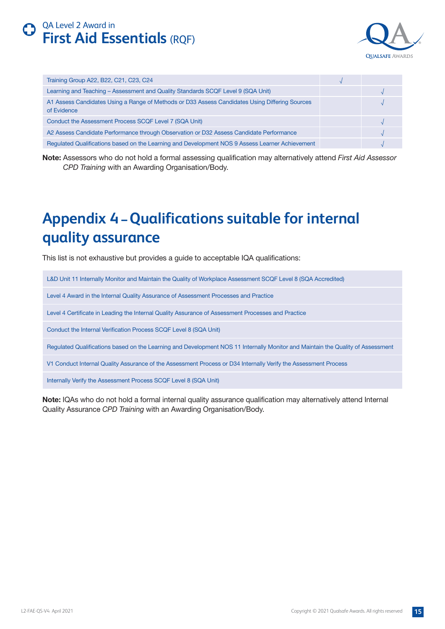![](_page_14_Picture_1.jpeg)

<span id="page-14-0"></span>

| Training Group A22, B22, C21, C23, C24                                                                        |  |
|---------------------------------------------------------------------------------------------------------------|--|
| Learning and Teaching - Assessment and Quality Standards SCQF Level 9 (SQA Unit)                              |  |
| A1 Assess Candidates Using a Range of Methods or D33 Assess Candidates Using Differing Sources<br>of Evidence |  |
| Conduct the Assessment Process SCQF Level 7 (SQA Unit)                                                        |  |
| A2 Assess Candidate Performance through Observation or D32 Assess Candidate Performance                       |  |
| Regulated Qualifications based on the Learning and Development NOS 9 Assess Learner Achievement               |  |

**Note:** Assessors who do not hold a formal assessing qualification may alternatively attend *First Aid Assessor CPD Training* with an Awarding Organisation/Body.

## **Appendix 4 – Qualifications suitable for internal quality assurance**

This list is not exhaustive but provides a guide to acceptable IQA qualifications:

L&D Unit 11 Internally Monitor and Maintain the Quality of Workplace Assessment SCQF Level 8 (SQA Accredited)

Level 4 Award in the Internal Quality Assurance of Assessment Processes and Practice

Level 4 Certificate in Leading the Internal Quality Assurance of Assessment Processes and Practice

Conduct the Internal Verification Process SCQF Level 8 (SQA Unit)

Regulated Qualifications based on the Learning and Development NOS 11 Internally Monitor and Maintain the Quality of Assessment

V1 Conduct Internal Quality Assurance of the Assessment Process or D34 Internally Verify the Assessment Process

Internally Verify the Assessment Process SCQF Level 8 (SQA Unit)

**Note:** IQAs who do not hold a formal internal quality assurance qualification may alternatively attend Internal Quality Assurance *CPD Training* with an Awarding Organisation/Body.